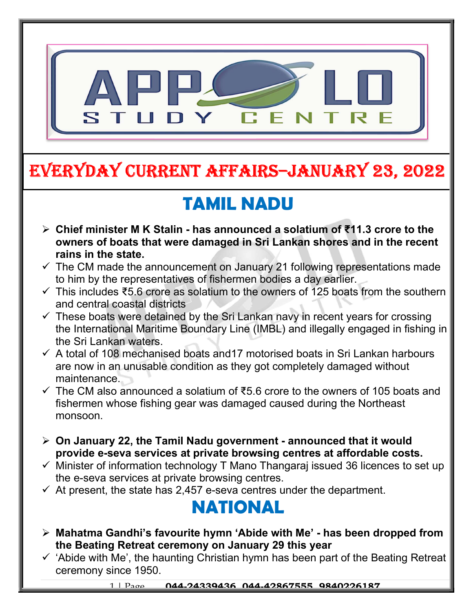

# EVERYDAY CURRENT AFFAIRS–JANUARY 23, 2022

# TAMIL NADU

-

- Chief minister M K Stalin has announced a solatium of ₹11.3 crore to the owners of boats that were damaged in Sri Lankan shores and in the recent rains in the state.
- $\checkmark$  The CM made the announcement on January 21 following representations made to him by the representatives of fishermen bodies a day earlier.
- $\checkmark$  This includes ₹5.6 crore as solatium to the owners of 125 boats from the southern and central coastal districts
- $\checkmark$  These boats were detained by the Sri Lankan navy in recent years for crossing the International Maritime Boundary Line (IMBL) and illegally engaged in fishing in the Sri Lankan waters.
- $\checkmark$  A total of 108 mechanised boats and 17 motorised boats in Sri Lankan harbours are now in an unusable condition as they got completely damaged without maintenance.
- The CM also announced a solatium of ₹5.6 crore to the owners of 105 boats and fishermen whose fishing gear was damaged caused during the Northeast monsoon.
- $\triangleright$  On January 22, the Tamil Nadu government announced that it would provide e-seva services at private browsing centres at affordable costs.
- $\checkmark$  Minister of information technology T Mano Thangaraj issued 36 licences to set up the e-seva services at private browsing centres.
- $\checkmark$  At present, the state has 2,457 e-seva centres under the department.

#### NATIONAL

- $\triangleright$  Mahatma Gandhi's favourite hymn 'Abide with Me' has been dropped from the Beating Retreat ceremony on January 29 this year
- $\checkmark$  'Abide with Me', the haunting Christian hymn has been part of the Beating Retreat ceremony since 1950.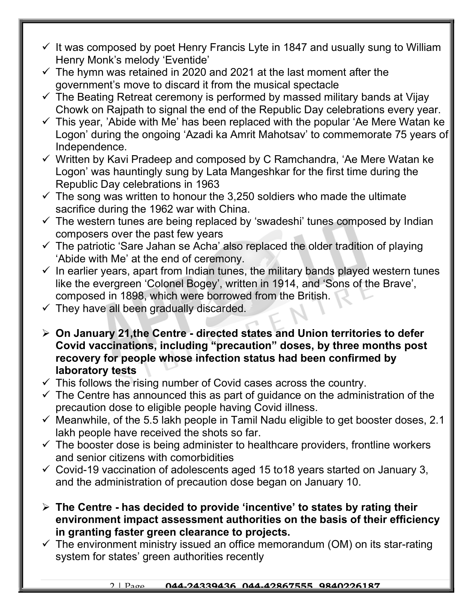- $\checkmark$  It was composed by poet Henry Francis Lyte in 1847 and usually sung to William Henry Monk's melody 'Eventide'
- $\checkmark$  The hymn was retained in 2020 and 2021 at the last moment after the government's move to discard it from the musical spectacle
- $\checkmark$  The Beating Retreat ceremony is performed by massed military bands at Vijay Chowk on Rajpath to signal the end of the Republic Day celebrations every year.
- $\checkmark$  This year, 'Abide with Me' has been replaced with the popular 'Ae Mere Watan ke Logon' during the ongoing 'Azadi ka Amrit Mahotsav' to commemorate 75 years of Independence.
- $\checkmark$  Written by Kavi Pradeep and composed by C Ramchandra, 'Ae Mere Watan ke Logon' was hauntingly sung by Lata Mangeshkar for the first time during the Republic Day celebrations in 1963
- $\checkmark$  The song was written to honour the 3,250 soldiers who made the ultimate sacrifice during the 1962 war with China.
- $\checkmark$  The western tunes are being replaced by 'swadeshi' tunes composed by Indian composers over the past few years
- $\checkmark$  The patriotic 'Sare Jahan se Acha' also replaced the older tradition of playing 'Abide with Me' at the end of ceremony.
- $\checkmark$  In earlier years, apart from Indian tunes, the military bands played western tunes like the evergreen 'Colonel Bogey', written in 1914, and 'Sons of the Brave', composed in 1898, which were borrowed from the British.
- $\checkmark$  They have all been gradually discarded.
- $\triangleright$  On January 21, the Centre directed states and Union territories to defer Covid vaccinations, including "precaution" doses, by three months post recovery for people whose infection status had been confirmed by laboratory tests
- $\checkmark$  This follows the rising number of Covid cases across the country.
- $\checkmark$  The Centre has announced this as part of guidance on the administration of the precaution dose to eligible people having Covid illness.
- $\checkmark$  Meanwhile, of the 5.5 lakh people in Tamil Nadu eligible to get booster doses, 2.1 lakh people have received the shots so far.
- $\checkmark$  The booster dose is being administer to healthcare providers, frontline workers and senior citizens with comorbidities
- $\checkmark$  Covid-19 vaccination of adolescents aged 15 to 18 years started on January 3, and the administration of precaution dose began on January 10.
- $\triangleright$  The Centre has decided to provide 'incentive' to states by rating their environment impact assessment authorities on the basis of their efficiency in granting faster green clearance to projects.
- $\checkmark$  The environment ministry issued an office memorandum (OM) on its star-rating system for states' green authorities recently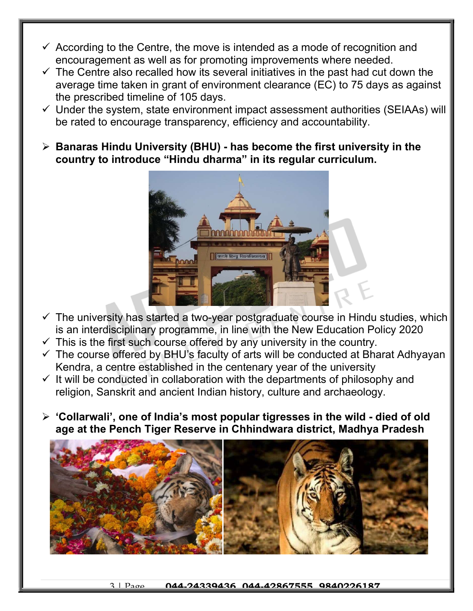- $\checkmark$  According to the Centre, the move is intended as a mode of recognition and encouragement as well as for promoting improvements where needed.
- $\checkmark$  The Centre also recalled how its several initiatives in the past had cut down the average time taken in grant of environment clearance (EC) to 75 days as against the prescribed timeline of 105 days.
- $\checkmark$  Under the system, state environment impact assessment authorities (SEIAAs) will be rated to encourage transparency, efficiency and accountability.
- $\triangleright$  Banaras Hindu University (BHU) has become the first university in the country to introduce "Hindu dharma" in its regular curriculum.



- $\checkmark$  The university has started a two-year postgraduate course in Hindu studies, which is an interdisciplinary programme, in line with the New Education Policy 2020
- $\checkmark$  This is the first such course offered by any university in the country.
- $\checkmark$  The course offered by BHU's faculty of arts will be conducted at Bharat Adhyayan Kendra, a centre established in the centenary year of the university
- $\checkmark$  It will be conducted in collaboration with the departments of philosophy and religion, Sanskrit and ancient Indian history, culture and archaeology.
- $\triangleright$  'Collarwali', one of India's most popular tigresses in the wild died of old age at the Pench Tiger Reserve in Chhindwara district, Madhya Pradesh

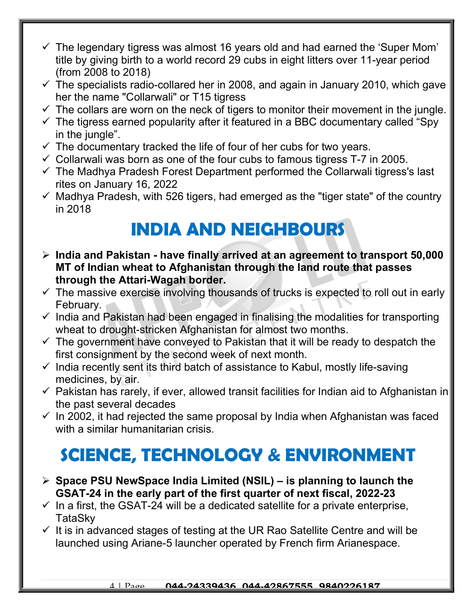- $\checkmark$  The legendary tigress was almost 16 years old and had earned the 'Super Mom' title by giving birth to a world record 29 cubs in eight litters over 11-year period (from 2008 to 2018)
- $\checkmark$  The specialists radio-collared her in 2008, and again in January 2010, which gave her the name "Collarwali" or T15 tigress
- $\checkmark$  The collars are worn on the neck of tigers to monitor their movement in the jungle.
- $\checkmark$  The tigress earned popularity after it featured in a BBC documentary called "Spy in the jungle".
- $\checkmark$  The documentary tracked the life of four of her cubs for two years.
- $\checkmark$  Collarwali was born as one of the four cubs to famous tigress T-7 in 2005.
- $\checkmark$  The Madhya Pradesh Forest Department performed the Collarwali tigress's last rites on January 16, 2022
- $\checkmark$  Madhya Pradesh, with 526 tigers, had emerged as the "tiger state" of the country in 2018

## INDIA AND NEIGHBOURS

- $\triangleright$  India and Pakistan have finally arrived at an agreement to transport 50,000 MT of Indian wheat to Afghanistan through the land route that passes through the Attari-Wagah border.
- $\checkmark$  The massive exercise involving thousands of trucks is expected to roll out in early February.
- $\checkmark$  India and Pakistan had been engaged in finalising the modalities for transporting wheat to drought-stricken Afghanistan for almost two months.
- $\checkmark$  The government have conveyed to Pakistan that it will be ready to despatch the first consignment by the second week of next month.
- $\checkmark$  India recently sent its third batch of assistance to Kabul, mostly life-saving medicines, by air.
- $\checkmark$  Pakistan has rarely, if ever, allowed transit facilities for Indian aid to Afghanistan in the past several decades
- $\checkmark$  In 2002, it had rejected the same proposal by India when Afghanistan was faced with a similar humanitarian crisis.

#### SCIENCE, TECHNOLOGY & ENVIRONMENT

- $\triangleright$  Space PSU NewSpace India Limited (NSIL) is planning to launch the GSAT-24 in the early part of the first quarter of next fiscal, 2022-23
- $\checkmark$  In a first, the GSAT-24 will be a dedicated satellite for a private enterprise, **TataSkv**
- $\checkmark$  It is in advanced stages of testing at the UR Rao Satellite Centre and will be launched using Ariane-5 launcher operated by French firm Arianespace.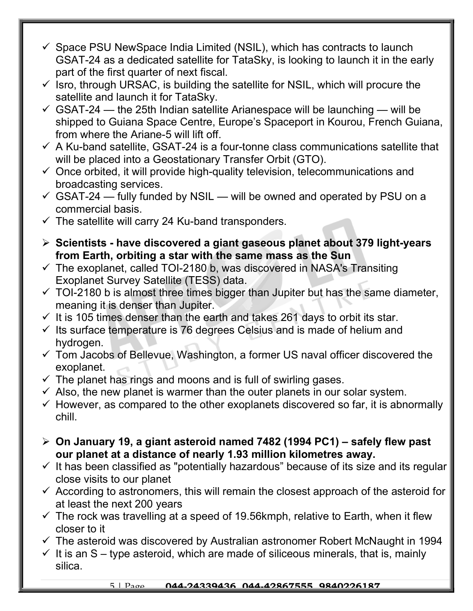- $\checkmark$  Space PSU NewSpace India Limited (NSIL), which has contracts to launch GSAT-24 as a dedicated satellite for TataSky, is looking to launch it in the early part of the first quarter of next fiscal.
- $\checkmark$  Isro, through URSAC, is building the satellite for NSIL, which will procure the satellite and launch it for TataSky.
- $\checkmark$  GSAT-24 the 25th Indian satellite Arianespace will be launching will be shipped to Guiana Space Centre, Europe's Spaceport in Kourou, French Guiana, from where the Ariane-5 will lift off.
- $\checkmark$  A Ku-band satellite, GSAT-24 is a four-tonne class communications satellite that will be placed into a Geostationary Transfer Orbit (GTO).
- $\checkmark$  Once orbited, it will provide high-quality television, telecommunications and broadcasting services.
- $\checkmark$  GSAT-24 fully funded by NSIL will be owned and operated by PSU on a commercial basis.
- $\checkmark$  The satellite will carry 24 Ku-band transponders.
- $\triangleright$  Scientists have discovered a giant gaseous planet about 379 light-years from Earth, orbiting a star with the same mass as the Sun
- $\checkmark$  The exoplanet, called TOI-2180 b, was discovered in NASA's Transiting Exoplanet Survey Satellite (TESS) data.
- $\checkmark$  TOI-2180 b is almost three times bigger than Jupiter but has the same diameter, meaning it is denser than Jupiter.
- $\checkmark$  It is 105 times denser than the earth and takes 261 days to orbit its star.
- $\checkmark$  Its surface temperature is 76 degrees Celsius and is made of helium and hydrogen.
- $\checkmark$  Tom Jacobs of Bellevue, Washington, a former US naval officer discovered the exoplanet.
- $\checkmark$  The planet has rings and moons and is full of swirling gases.
- $\checkmark$  Also, the new planet is warmer than the outer planets in our solar system.
- $\checkmark$  However, as compared to the other exoplanets discovered so far, it is abnormally chill.
- $\geq$  On January 19, a giant asteroid named 7482 (1994 PC1) safely flew past our planet at a distance of nearly 1.93 million kilometres away.
- $\checkmark$  It has been classified as "potentially hazardous" because of its size and its regular close visits to our planet
- $\checkmark$  According to astronomers, this will remain the closest approach of the asteroid for at least the next 200 years
- $\checkmark$  The rock was travelling at a speed of 19.56kmph, relative to Earth, when it flew closer to it
- $\checkmark$  The asteroid was discovered by Australian astronomer Robert McNaught in 1994
- $\checkmark$  It is an S type asteroid, which are made of siliceous minerals, that is, mainly silica.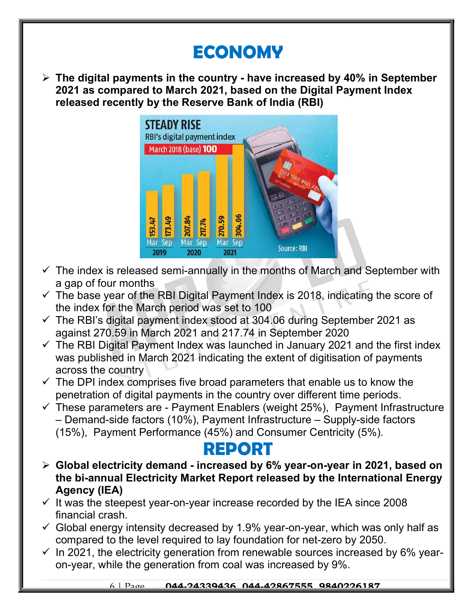### ECONOMY

 $\triangleright$  The digital payments in the country - have increased by 40% in September 2021 as compared to March 2021, based on the Digital Payment Index released recently by the Reserve Bank of India (RBI)



- $\checkmark$  The index is released semi-annually in the months of March and September with a gap of four months
- $\checkmark$  The base year of the RBI Digital Payment Index is 2018, indicating the score of the index for the March period was set to 100
- $\checkmark$  The RBI's digital payment index stood at 304.06 during September 2021 as against 270.59 in March 2021 and 217.74 in September 2020
- $\checkmark$  The RBI Digital Payment Index was launched in January 2021 and the first index was published in March 2021 indicating the extent of digitisation of payments across the country
- $\checkmark$  The DPI index comprises five broad parameters that enable us to know the penetration of digital payments in the country over different time periods.
- $\checkmark$  These parameters are Payment Enablers (weight 25%), Payment Infrastructure – Demand-side factors (10%), Payment Infrastructure – Supply-side factors (15%), Payment Performance (45%) and Consumer Centricity (5%).

#### REPORT

- Global electricity demand increased by 6% year-on-year in 2021, based on the bi-annual Electricity Market Report released by the International Energy Agency (IEA)
- $\checkmark$  It was the steepest year-on-year increase recorded by the IEA since 2008 financial crash.
- $\checkmark$  Global energy intensity decreased by 1.9% year-on-year, which was only half as compared to the level required to lay foundation for net-zero by 2050.
- $\checkmark$  In 2021, the electricity generation from renewable sources increased by 6% yearon-year, while the generation from coal was increased by 9%.